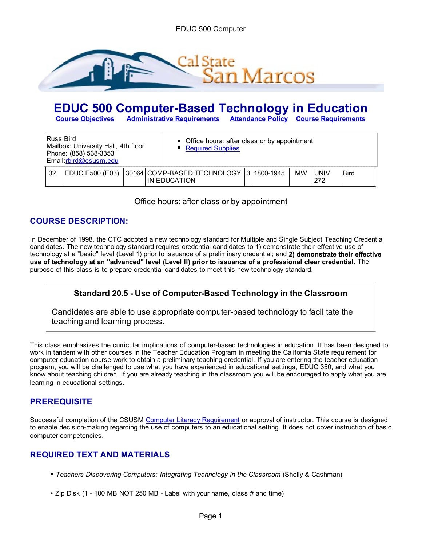

# **EDUC 500 Computer-Based Technology in Education**<br> **Course Objectives** Administrative Requirements Attendance Policy Course Requirements

**Course Objectives Administrative Requirements Attendance Policy Course Requirements**

| Russ Bird<br>Mailbox: University Hall, 4th floor<br>Phone: (858) 538-3353<br>Email:rbird@csusm.edu |                 |  | • Office hours: after class or by appointment<br>Required Supplies |                                             |   |           |    |             |             |
|----------------------------------------------------------------------------------------------------|-----------------|--|--------------------------------------------------------------------|---------------------------------------------|---|-----------|----|-------------|-------------|
| 02                                                                                                 | EDUC E500 (E03) |  |                                                                    | 30164 COMP-BASED TECHNOLOGY<br>IN EDUCATION | 3 | 1800-1945 | MW | UNIV<br>272 | <b>Bird</b> |

Office hours: after class or by appointment

# **COURSE DESCRIPTION:**

In December of 1998, the CTC adopted a new technology standard for Multiple and Single Subject Teaching Credential candidates. The new technology standard requires credential candidates to 1) demonstrate their effective use of technology at a "basic" level (Level 1) prior to issuance of a preliminary credential; and **2) demonstrate their effective use of technology at an "advanced" level (Level II) prior to issuance of a professional clear credential.** The purpose of this class is to prepare credential candidates to meet this new technology standard.

# **Standard 20.5 - Use of Computer-Based Technology in the Classroom**

Candidates are able to use appropriate computer-based technology to facilitate the teaching and learning process.

This class emphasizes the curricular implications of computer-based technologies in education. It has been designed to work in tandem with other courses in the Teacher Education Program in meeting the California State requirement for computer education course work to obtain a preliminary teaching credential. If you are entering the teacher education program, you will be challenged to use what you have experienced in educational settings, EDUC 350, and what you know about teaching children. If you are already teaching in the classroom you will be encouraged to apply what you are learning in educational settings.

## **PREREQUISITE**

Successful completion of the CSUSM Computer Literacy Requirement or approval of instructor. This course is designed to enable decision-making regarding the use of computers to an educational setting. It does not cover instruction of basic computer competencies.

# **REQUIRED TEXT AND MATERIALS**

- Teachers Discovering Computers: Integrating Technology in the Classroom (Shelly & Cashman)
- Zip Disk (1 100 MB NOT 250 MB Label with your name, class # and time)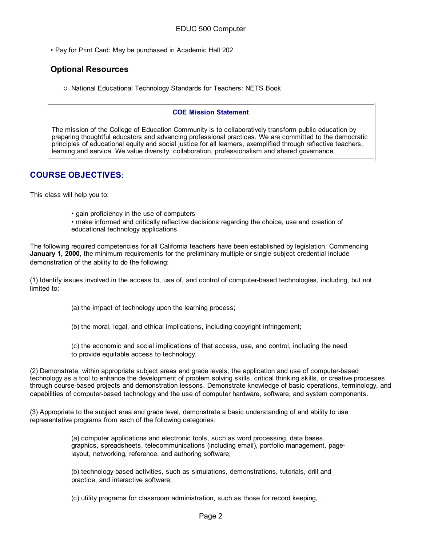• Pay for Print Card: May be purchased in Academic Hall 202

## **Optional Resources**

National Educational Technology Standards for Teachers: NETS Book

#### **COE Mission Statement**

The mission of the College of Education Community is to collaboratively transform public education by preparing thoughtful educators and advancing professional practices. We are committed to the democratic principles of educational equity and social justice for all learners, exemplified through reflective teachers, learning and service. We value diversity, collaboration, professionalism and shared governance.

# **COURSE OBJECTIVES**:

This class will help you to:

- gain proficiency in the use of computers
- make informed and critically reflective decisions regarding the choice, use and creation of educational technology applications

The following required competencies for all California teachers have been established by legislation. Commencing **January 1, 2000**, the minimum requirements for the preliminary multiple or single subject credential include demonstration of the ability to do the following:

(1) Identify issues involved in the access to, use of, and control of computer-based technologies, including, but not limited to:

- (a) the impact of technology upon the learning process;
- (b) the moral, legal, and ethical implications, including copyright infringement;
- (c) the economic and social implications of that access, use, and control, including the need to provide equitable access to technology.

(2) Demonstrate, within appropriate subject areas and grade levels, the application and use of computer-based technology as a tool to enhance the development of problem solving skills, critical thinking skills, or creative processes through course-based projects and demonstration lessons. Demonstrate knowledge of basic operations, terminology, and capabilities of computer-based technology and the use of computer hardware, software, and system components.

(3) Appropriate to the subject area and grade level, demonstrate a basic understanding of and ability to use representative programs from each of the following categories:

> (a) computer applications and electronic tools, such as word processing, data bases, graphics, spreadsheets, telecommunications (including email), portfolio management, pagelayout, networking, reference, and authoring software;

(b) technology-based activities, such as simulations, demonstrations, tutorials, drill and practice, and interactive software;

(c) utility programs for classroom administration, such as those for record keeping, db k l l i ti i t ti l t i l d i i t ti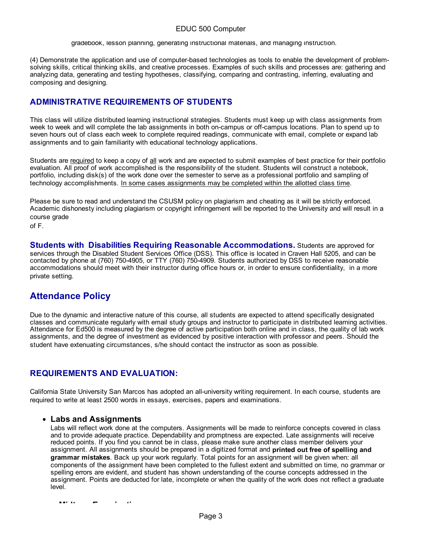#### EDUC 500 Computer

gradebook, lesson planning, generating instructional materials, and managing instruction.

(4) Demonstrate the application and use of computer-based technologies as tools to enable the development of problemsolving skills, critical thinking skills, and creative processes. Examples of such skills and processes are: gathering and analyzing data, generating and testing hypotheses, classifying, comparing and contrasting, inferring, evaluating and composing and designing.

## **ADMINISTRATIVE REQUIREMENTS OF STUDENTS**

This class will utilize distributed learning instructional strategies. Students must keep up with class assignments from week to week and will complete the lab assignments in both on-campus or off-campus locations. Plan to spend up to seven hours out of class each week to complete required readings, communicate with email, complete or expand lab assignments and to gain familiarity with educational technology applications.

Students are required to keep a copy of all work and are expected to submit examples of best practice for their portfolio evaluation. All proof of work accomplished is the responsibility of the student. Students will construct a notebook, portfolio, including disk(s) of the work done over the semester to serve as a professional portfolio and sampling of technology accomplishments. In some cases assignments may be completed within the allotted class time.

Please be sure to read and understand the CSUSM policy on plagiarism and cheating as it will be strictly enforced. Academic dishonesty including plagiarism or copyright infringement will be reported to the University and will result in a course grade

of F.

**Students with Disabilities Requiring Reasonable Accommodations.** Students are approved for services through the Disabled Student Services Office (DSS). This office is located in Craven Hall 5205, and can be contacted by phone at (760) 750-4905, or TTY (760) 750-4909. Students authorized by DSS to receive reasonable accommodations should meet with their instructor during office hours or, in order to ensure confidentiality, in a more private setting.

# **Attendance Policy**

Due to the dynamic and interactive nature of this course, all students are expected to attend specifically designated classes and communicate regularly with email study groups and instructor to participate in distributed learning activities. Attendance for Ed500 is measured by the degree of active participation both online and in class, the quality of lab work assignments, and the degree of investment as evidenced by positive interaction with professor and peers. Should the student have extenuating circumstances, s/he should contact the instructor as soon as possible.

## **REQUIREMENTS AND EVALUATION:**

California State University San Marcos has adopted an all-university writing requirement. In each course, students are required to write at least 2500 words in essays, exercises, papers and examinations.

#### **Labs and Assignments**

Labs will reflect work done at the computers. Assignments will be made to reinforce concepts covered in class and to provide adequate practice. Dependability and promptness are expected. Late assignments will receive reduced points. If you find you cannot be in class, please make sure another class member delivers your assignment. All assignments should be prepared in a digitized format and **printed out free of spelling and grammar mistakes**. Back up your work regularly. Total points for an assignment will be given when: all components of the assignment have been completed to the fullest extent and submitted on time, no grammar or spelling errors are evident, and student has shown understanding of the course concepts addressed in the assignment. Points are deducted for late, incomplete or when the quality of the work does not reflect a graduate level.

**Midt E i ti**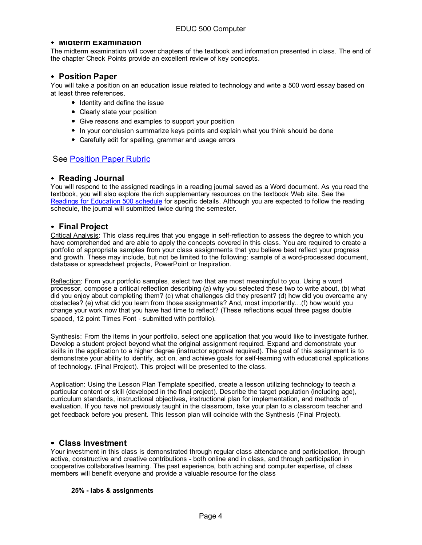#### **MIDTERM EXAMINATION**

The midterm examination will cover chapters of the textbook and information presented in class. The end of the chapter Check Points provide an excellent review of key concepts.

#### **Position Paper**

You will take a position on an education issue related to technology and write a 500 word essay based on at least three references.

- I Identity and define the issue
- Clearly state your position
- Give reasons and examples to support your position
- In your conclusion summarize keys points and explain what you think should be done
- **Carefully edit for spelling, grammar and usage errors**

#### See Position Paper Rubric

#### **Reading Journal**

You will respond to the assigned readings in a reading journal saved as a Word document. As you read the textbook, you will also explore the rich supplementary resources on the textbook Web site. See the Readings for Education 500 schedule for specific details. Although you are expected to follow the reading schedule, the journal will submitted twice during the semester.

#### **Final Project**

Critical Analysis: This class requires that you engage in self-reflection to assess the degree to which you have comprehended and are able to apply the concepts covered in this class. You are required to create a portfolio of appropriate samples from your class assignments that you believe best reflect your progress and growth. These may include, but not be limited to the following: sample of a word-processed document, database or spreadsheet projects, PowerPoint or Inspiration.

Reflection: From your portfolio samples, select two that are most meaningful to you. Using a word processor, compose a critical reflection describing (a) why you selected these two to write about, (b) what did you enjoy about completing them? (c) what challenges did they present? (d) how did you overcame any obstacles? (e) what did you learn from those assignments? And, most importantly…(f) how would you change your work now that you have had time to reflect? (These reflections equal three pages double spaced, 12 point Times Font - submitted with portfolio).

Synthesis: From the items in your portfolio, select one application that you would like to investigate further. Develop a student project beyond what the original assignment required. Expand and demonstrate your skills in the application to a higher degree (instructor approval required). The goal of this assignment is to demonstrate your ability to identify, act on, and achieve goals for self-learning with educational applications of technology. (Final Project). This project will be presented to the class.

Application: Using the Lesson Plan Template specified, create a lesson utilizing technology to teach a particular content or skill (developed in the final project). Describe the target population (including age), curriculum standards, instructional objectives, instructional plan for implementation, and methods of evaluation. If you have not previously taught in the classroom, take your plan to a classroom teacher and get feedback before you present. This lesson plan will coincide with the Synthesis (Final Project).

#### **Class Investment**

Your investment in this class is demonstrated through regular class attendance and participation, through active, constructive and creative contributions - both online and in class, and through participation in cooperative collaborative learning. The past experience, both aching and computer expertise, of class members will benefit everyone and provide a valuable resource for the class

#### **25% - labs & assignments**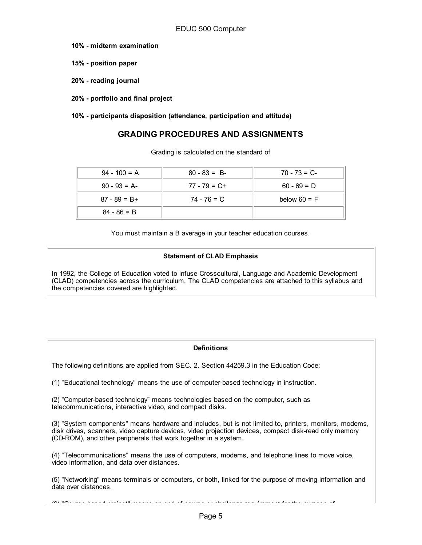- **10% midterm examination**
- **15% position paper**
- **20% reading journal**
- **20% portfolio and final project**

**10% - participants disposition (attendance, participation and attitude)**

## **GRADING PROCEDURES AND ASSIGNMENTS**

Grading is calculated on the standard of

| $94 - 100 = A$  | $80 - 83 = B$   | $70 - 73 = C$  |
|-----------------|-----------------|----------------|
| $90 - 93 = A$   | $77 - 79 = C +$ | $60 - 69 = D$  |
| $87 - 89 = B +$ | 74 - 76 = C     | below $60 = F$ |
| $84 - 86 = B$   |                 |                |

You must maintain a B average in your teacher education courses.

#### **Statement of CLAD Emphasis**

In 1992, the College of Education voted to infuse Crosscultural, Language and Academic Development (CLAD) competencies across the curriculum. The CLAD competencies are attached to this syllabus and the competencies covered are highlighted.

#### **Definitions**

The following definitions are applied from SEC. 2. Section 44259.3 in the Education Code:

(1) "Educational technology" means the use of computer-based technology in instruction.

(2) "Computer-based technology" means technologies based on the computer, such as telecommunications, interactive video, and compact disks.

(3) "System components" means hardware and includes, but is not limited to, printers, monitors, modems, disk drives, scanners, video capture devices, video projection devices, compact disk-read only memory (CD-ROM), and other peripherals that work together in a system.

(4) "Telecommunications" means the use of computers, modems, and telephone lines to move voice, video information, and data over distances.

(5) "Networking" means terminals or computers, or both, linked for the purpose of moving information and data over distances.

(6) "Course based project" means an end of course or challenge requirement for the purpose of